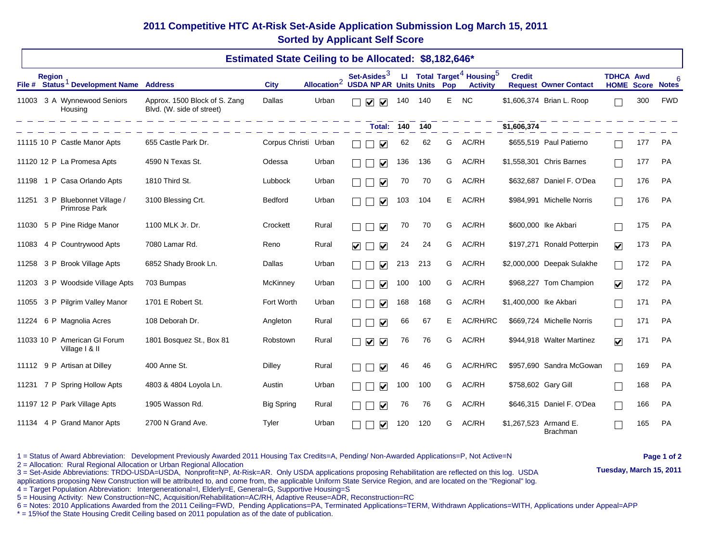## **2011 Competitive HTC At-Risk Set-Aside Application Submission Log March 15, 2011 Sorted by Applicant Self Score**

|       | <b>Estimated State Ceiling to be Allocated: \$8,182,646*</b> |                                                     |                                                            |                      |                         |                                                     |         |     |    |                                                                      |                        |                              |                                             |     |            |
|-------|--------------------------------------------------------------|-----------------------------------------------------|------------------------------------------------------------|----------------------|-------------------------|-----------------------------------------------------|---------|-----|----|----------------------------------------------------------------------|------------------------|------------------------------|---------------------------------------------|-----|------------|
|       | <b>Region</b>                                                | File # Status <sup>1</sup> Development Name Address |                                                            | <b>City</b>          | Allocation <sup>2</sup> | Set-Asides $3$<br><b>USDA NP AR Units Units Pop</b> |         |     |    | LI Total Target <sup>4</sup> Housing <sup>5</sup><br><b>Activity</b> | <b>Credit</b>          | <b>Request Owner Contact</b> | <b>TDHCA Awd</b><br><b>HOME Score Notes</b> |     |            |
| 11003 |                                                              | 3 A Wynnewood Seniors<br>Housing                    | Approx. 1500 Block of S. Zang<br>Blvd. (W. side of street) | <b>Dallas</b>        | Urban                   | $\blacktriangledown$<br>$\blacktriangledown$        | 140 140 |     | E  | <b>NC</b>                                                            |                        | \$1,606,374 Brian L. Roop    |                                             | 300 | <b>FWD</b> |
|       |                                                              |                                                     |                                                            |                      |                         | Total:                                              | 140     | 140 |    |                                                                      | \$1,606,374            |                              |                                             |     |            |
|       |                                                              | 11115 10 P Castle Manor Apts                        | 655 Castle Park Dr.                                        | Corpus Christi Urban |                         | $\blacktriangledown$                                | 62      | 62  | G  | AC/RH                                                                |                        | \$655,519 Paul Patierno      |                                             | 177 | PA         |
|       |                                                              | 11120 12 P La Promesa Apts                          | 4590 N Texas St.                                           | Odessa               | Urban                   | $\blacktriangledown$                                | 136     | 136 | G  | AC/RH                                                                |                        | \$1,558,301 Chris Barnes     |                                             | 177 | <b>PA</b>  |
| 11198 |                                                              | 1 P Casa Orlando Apts                               | 1810 Third St.                                             | Lubbock              | Urban                   | $\blacktriangledown$                                | 70      | 70  | G  | AC/RH                                                                |                        | \$632,687 Daniel F. O'Dea    |                                             | 176 | <b>PA</b>  |
|       |                                                              | 11251 3 P Bluebonnet Village /<br>Primrose Park     | 3100 Blessing Crt.                                         | Bedford              | Urban                   | $\overline{\blacktriangledown}$                     | 103     | 104 | E. | AC/RH                                                                |                        | \$984,991 Michelle Norris    |                                             | 176 | PA         |
| 11030 |                                                              | 5 P Pine Ridge Manor                                | 1100 MLK Jr. Dr.                                           | Crockett             | Rural                   | $\overline{\mathbf{v}}$                             | 70      | 70  | G  | AC/RH                                                                |                        | \$600,000 lke Akbari         |                                             | 175 | PA         |
| 11083 |                                                              | 4 P Countrywood Apts                                | 7080 Lamar Rd.                                             | Reno                 | Rural                   | $\blacktriangledown$<br>$\blacktriangledown$        | 24      | 24  | G  | AC/RH                                                                |                        | \$197,271 Ronald Potterpin   | $\blacktriangledown$                        | 173 | <b>PA</b>  |
| 11258 |                                                              | 3 P Brook Village Apts                              | 6852 Shady Brook Ln.                                       | Dallas               | Urban                   | $\blacktriangledown$                                | 213     | 213 | G  | AC/RH                                                                |                        | \$2,000,000 Deepak Sulakhe   |                                             | 172 | <b>PA</b>  |
| 11203 |                                                              | 3 P Woodside Village Apts                           | 703 Bumpas                                                 | McKinney             | Urban                   | $\blacktriangledown$                                | 100     | 100 | G  | AC/RH                                                                |                        | \$968,227 Tom Champion       | $\overline{\mathbf{v}}$                     | 172 | PA         |
| 11055 |                                                              | 3 P Pilgrim Valley Manor                            | 1701 E Robert St.                                          | Fort Worth           | Urban                   | $\blacktriangledown$                                | 168     | 168 | G  | AC/RH                                                                | \$1,400,000 lke Akbari |                              |                                             | 171 | <b>PA</b>  |
| 11224 |                                                              | 6 P Magnolia Acres                                  | 108 Deborah Dr.                                            | Angleton             | Rural                   | ✔                                                   | 66      | 67  | Е  | AC/RH/RC                                                             |                        | \$669,724 Michelle Norris    |                                             | 171 | <b>PA</b>  |
|       |                                                              | 11033 10 P American GI Forum<br>Village   & II      | 1801 Bosquez St., Box 81                                   | Robstown             | Rural                   | $\blacktriangledown$<br>$\blacktriangledown$        | 76      | 76  | G  | AC/RH                                                                |                        | \$944,918 Walter Martinez    | $\overline{\mathbf{v}}$                     | 171 | PA         |
|       |                                                              | 11112 9 P Artisan at Dilley                         | 400 Anne St.                                               | <b>Dilley</b>        | Rural                   | $\blacktriangledown$                                | 46      | 46  | G  | AC/RH/RC                                                             |                        | \$957,690 Sandra McGowan     |                                             | 169 | PA         |
| 11231 |                                                              | 7 P Spring Hollow Apts                              | 4803 & 4804 Loyola Ln.                                     | Austin               | Urban                   | $\blacktriangledown$                                | 100     | 100 | G  | AC/RH                                                                | \$758,602 Gary Gill    |                              |                                             | 168 | <b>PA</b>  |
|       |                                                              | 11197 12 P Park Village Apts                        | 1905 Wasson Rd.                                            | <b>Big Spring</b>    | Rural                   | $\blacktriangledown$                                | 76      | 76  | G  | AC/RH                                                                |                        | \$646,315 Daniel F. O'Dea    |                                             | 166 | PA         |
| 11134 |                                                              | 4 P Grand Manor Apts                                | 2700 N Grand Ave.                                          | Tyler                | Urban                   | $\blacktriangledown$                                | 120     | 120 | G  | AC/RH                                                                | \$1,267,523 Armand E.  | <b>Brachman</b>              |                                             | 165 | PA         |

1 = Status of Award Abbreviation: Development Previously Awarded 2011 Housing Tax Credits=A, Pending/ Non-Awarded Applications=P, Not Active=N **Page 1 of 2 Page 1 of 2 Page 1 of 2 Page 1 of 2 Page 1 of 2 Page 1 o** 

3 = Set-Aside Abbreviations: TRDO-USDA=USDA, Nonprofit=NP, At-Risk=AR. Only USDA applications proposing Rehabilitation are reflected on this log. USDA (USDA **Tuesday, March 15, 2011**)

applications proposing New Construction will be attributed to, and come from, the applicable Uniform State Service Region, and are located on the "Regional" log.

4 = Target Population Abbreviation: Intergenerational=I, Elderly=E, General=G, Supportive Housing=S

5 = Housing Activity: New Construction=NC, Acquisition/Rehabilitation=AC/RH, Adaptive Reuse=ADR, Reconstruction=RC

6 = Notes: 2010 Applications Awarded from the 2011 Ceiling=FWD, Pending Applications=PA, Terminated Applications=TERM, Withdrawn Applications=WITH, Applications under Appeal=APP

\* = 15%of the State Housing Credit Ceiling based on 2011 population as of the date of publication.